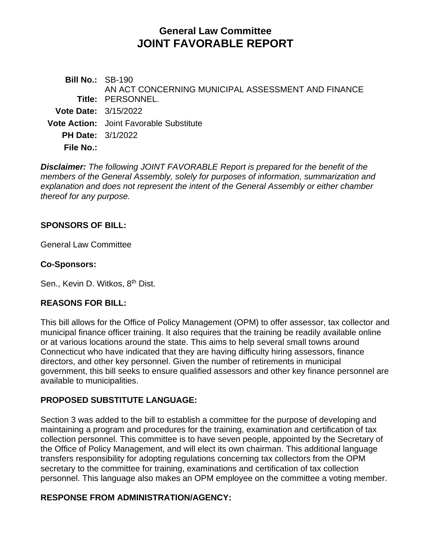# **General Law Committee JOINT FAVORABLE REPORT**

**Bill No.:** SB-190 **Title:** PERSONNEL. AN ACT CONCERNING MUNICIPAL ASSESSMENT AND FINANCE **Vote Date:** 3/15/2022 **Vote Action:** Joint Favorable Substitute **PH Date:** 3/1/2022 **File No.:**

*Disclaimer: The following JOINT FAVORABLE Report is prepared for the benefit of the members of the General Assembly, solely for purposes of information, summarization and explanation and does not represent the intent of the General Assembly or either chamber thereof for any purpose.*

# **SPONSORS OF BILL:**

General Law Committee

# **Co-Sponsors:**

Sen., Kevin D. Witkos, 8<sup>th</sup> Dist.

# **REASONS FOR BILL:**

This bill allows for the Office of Policy Management (OPM) to offer assessor, tax collector and municipal finance officer training. It also requires that the training be readily available online or at various locations around the state. This aims to help several small towns around Connecticut who have indicated that they are having difficulty hiring assessors, finance directors, and other key personnel. Given the number of retirements in municipal government, this bill seeks to ensure qualified assessors and other key finance personnel are available to municipalities.

# **PROPOSED SUBSTITUTE LANGUAGE:**

Section 3 was added to the bill to establish a committee for the purpose of developing and maintaining a program and procedures for the training, examination and certification of tax collection personnel. This committee is to have seven people, appointed by the Secretary of the Office of Policy Management, and will elect its own chairman. This additional language transfers responsibility for adopting regulations concerning tax collectors from the OPM secretary to the committee for training, examinations and certification of tax collection personnel. This language also makes an OPM employee on the committee a voting member.

# **RESPONSE FROM ADMINISTRATION/AGENCY:**